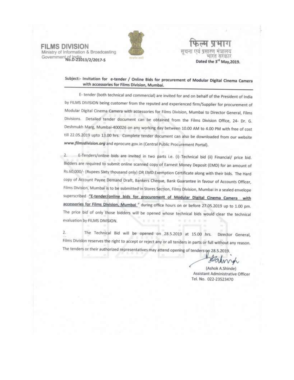**FILMS DIVISION** Ministry of Information & Broadcasting Government of India<br>No.D-21013/2/2017-5



पसारण मञ्जलय मारत सरकार Dated the 3<sup>rd</sup> May, 2019.

Subject:- Invitation for e-tender / Online Bids for procurement of Modular Digital Cinema Camera with accessories for Films Division, Mumbai.

E- tender (both technical and commercial) are invited for and on behalf of the President of India by FILMS DIVISION being customer from the reputed and experienced firm/Supplier for procurement of Modular Digital Cinema Camera with accessories for Films Division, Mumbai to Director General, Films Divisions. Detailed tender document can be obtained from the Films Division Office, 24- Dr. G. Deshmukh Marg, Mumbai-400026 on any working day between 10.00 AM to 4.00 PM with free of cost till 22.05.2019 upto 13.00 hrs. Complete tender document can also be downloaded from our website www.filmsdivision.org and eprocure.gov.in (Central Public Procurement Portal).

E-Tenders/online bids are invited in two parts i.e. (i) Technical bid (ii) Financial/ price bid. Bidders are required to submit online scanned copy of Earnest Money Deposit (EMD) for an amount of Rs.60,000/- (Rupees Sixty thousand only) OR EMD Exemption Certificate along with their bids. The Hard copy of Account Payee Demand Draft, Bankers Cheque, Bank Guarantee in favour of Accounts Officer, Films Division, Mumbai is to be submitted in Stores Section, Films Division, Mumbai in a sealed envelope superscribed "E-tender/online bids for procurement of Modular Digital Cinema Camera with accessories for Films Division, Mumbai " during office hours on or before 27.05.2019 up to 1.00 pm. The price bid of only those bidders will be opened whose technical bids would clear the technical evaluation by FILMS DIVISION.  $47 - 34$ . File 5 (n

 $\overline{2}$ . The Technical Bid will be opened on 28.5.2019 at 15.00 hrs. Director General, Films Division reserves the right to accept or reject any or all tenders in parts or full without any reason. The tenders or their authorized representatives may attend opening of tenders on 28.5.2019.

Halma

(Ashok A.Shinde) Assistant Administrative Officer Tel. No. 022-23523470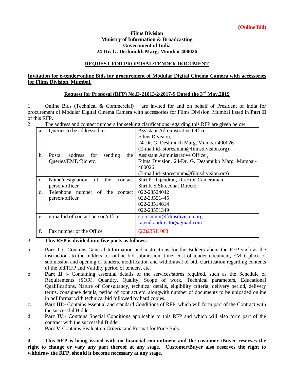#### **Films Division Ministry of Information & Broadcasting Government of India 24-Dr. G. Deshmukh Marg, Mumbai-400026**

### **REQUEST FOR PROPOSAL/TENDER DOCUMENT**

### **Invitation for e-tender/online Bids for procurement of Modular Digital Cinema Camera with accessories for Films Division, Mumbai.**

### **Request for Proposal (RFP) No.D-21013/2/2017-S Dated the 3 rd May,2019**

1. Online Bids (Technical & Commercial) are invited for and on behalf of President of India for procurement of Modular Digital Cinema Camera with accessories for Films Division, Mumbai listed in **Part II** of this RFP.

2. The address and contact numbers for seeking clarifications regarding this RFP are given below:

| a.             | Queries to be addressed to                 | Assistant Administrative Officer,                |  |  |  |  |
|----------------|--------------------------------------------|--------------------------------------------------|--|--|--|--|
|                |                                            | Films Division,                                  |  |  |  |  |
|                |                                            | 24-Dr. G. Deshmukh Marg, Mumbai-400026           |  |  |  |  |
|                |                                            | (E-mail id-storesmum@filmsdivision.org)          |  |  |  |  |
| b.             | Postal<br>sending<br>address<br>for<br>the | Assistant Administrative Officer,                |  |  |  |  |
|                | Queries/EMD/Bid etc.                       | Films Division, 24-Dr. G. Deshmukh Marg, Mumbai- |  |  |  |  |
|                |                                            | 400026                                           |  |  |  |  |
|                |                                            | (E-mail id-storesmum@filmsdivision.org)          |  |  |  |  |
| $\mathbf{c}$ . | Name/designation<br>of<br>the<br>contact   | Shri P. Rajendran, Director-Cameraman            |  |  |  |  |
|                | person/officer                             | Shri K.S.Shreedhar, Director                     |  |  |  |  |
| d.             | Telephone number of the contact            | 022-23524042                                     |  |  |  |  |
|                | person/officer                             | 022-23551445                                     |  |  |  |  |
|                |                                            | 022-23514614                                     |  |  |  |  |
|                |                                            | 022-23551349                                     |  |  |  |  |
| e.             | e-mail id of contact person/officer        | storesmum@filmsdivision.org                      |  |  |  |  |
|                |                                            | rajendrandirector@gmail.com                      |  |  |  |  |
| f.             | Fax number of the Office                   | $(22)$ 23511008                                  |  |  |  |  |
|                |                                            |                                                  |  |  |  |  |

#### 3. **This RFP is divided into five parts as follows:**

- a. **Part I :-** Contains General Information and instructions for the Bidders about the RFP such as the instructions to the bidders for online bid submission, time, cost of tender document, EMD, place of submission and opening of tenders, modification and withdrawal of bid, clarification regarding contents of the bid/RFP and Validity period of tenders, etc.
- b. **Part II** :- Containing essential details of the services/stores required, such as the Schedule of Requirements (SOR), Quantity, Quality, Scope of work, Technical parameters, Educational Qualifications, Nature of Consultancy, technical details, eligibility criteria, delivery period, delivery terms, consignee details, period of contract etc. alongwith number of documents to be uploaded online in pdf format with technical bid followed by hard copies.
- c. **Part III**:- Contains essential and standard Conditions of RFP, which will form part of the Contract with the successful Bidder.
- d. **Part IV**:- Contains Special Conditions applicable to this RFP and which will also form part of the contract with the successful Bidder.
- e. **Part V**:Contains Evaluation Criteria and Format for Price Bids.

4. **This RFP is being issued with no financial commitment and the customer /Buyer reserves the right to change or vary any part thereof at any stage. Customer/Buyer also reserves the right to withdraw the RFP, should it become necessary at any stage.**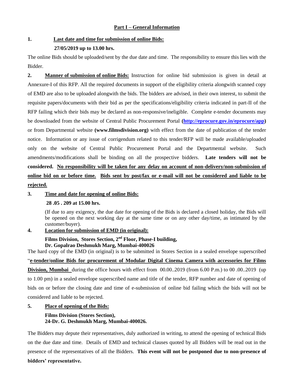### **Part I – General Information**

# **1. Last date and time for submission of online Bids:**

#### **27/05/2019 up to 13.00 hrs.**

The online Bids should be uploaded/sent by the due date and time. The responsibility to ensure this lies with the Bidder.

**2. Manner of submission of online Bids:** Instruction for online bid submission is given in detail at Annexure-I of this RFP. All the required documents in support of the eligibility criteria alongwith scanned copy of EMD are also to be uploaded alongwith the bids. The bidders are advised, in their own interest, to submit the requisite papers/documents with their bid as per the specifications/eligibility criteria indicated in part-II of the RFP failing which their bids may be declared as non-responsive/ineligible. Complete e-tender documents may be downloaded from the website of Central Public Procurement Portal **[\(http://eprocure.gov.in/eprocure/app\)](http://eprocure.gov.in/eprocure/app)** or from Departmental website **(www.filmsdivision.org)** with effect from the date of publication of the tender notice. Information or any issue of corrigendum related to this tender/RFP will be made available/uploaded only on the website of Central Public Procurement Portal and the Departmental website. Such amendments/modifications shall be binding on all the prospective bidders. **Late tenders will not be considered. No responsibility will be taken for any delay on account of non-delivery/non-submission of online bid on or before time. Bids sent by post/fax or e-mail will not be considered and liable to be rejected.**

### **3. Time and date for opening of online Bids:**

### **28 .05 . 209 at 15.00 hrs.**

(If due to any exigency, the due date for opening of the Bids is declared a closed holiday, the Bids will be opened on the next working day at the same time or on any other day/time, as intimated by the customer/buyer).

# **4. Location for submission of EMD (in original):**

### **Films Division, Stores Section, 2nd Floor, Phase-I building, Dr. Gopalrao Deshmukh Marg, Mumbai-400026**

The hard copy of the EMD (in original) is to be submitted in Stores Section in a sealed envelope superscribed "**e-tender/online Bids for procurement of Modular Digital Cinema Camera with accessories for Films Division, Mumbai** during the office hours with effect from 00.00..2019 (from 6.00 P.m.) to 00 .00..2019 (up to 1.00 pm) in a sealed envelope superscribed name and title of the tender, RFP number and date of opening of bids on or before the closing date and time of e-submission of online bid failing which the bids will not be considered and liable to be rejected.

### **5. Place of opening of the Bids:**

# **Films Division (Stores Section), 24-Dr. G. Deshmukh Marg, Mumbai-400026.**

The Bidders may depute their representatives, duly authorized in writing, to attend the opening of technical Bids on the due date and time. Details of EMD and technical clauses quoted by all Bidders will be read out in the presence of the representatives of all the Bidders. **This event will not be postponed due to non-presence of bidders' representative.**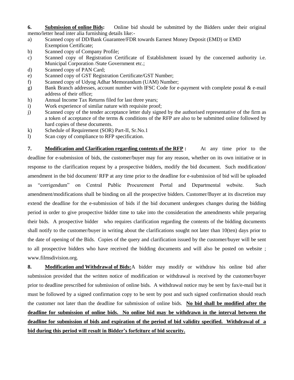**6. Submission of online Bids:** Online bid should be submitted by the Bidders under their original memo/letter head inter alia furnishing details like:-

- a) Scanned copy of DD/Bank Guarantee/FDR towards Earnest Money Deposit (EMD) or EMD Exemption Certificate;
- b) Scanned copy of Company Profile;
- c) Scanned copy of Registration Certificate of Establishment issued by the concerned authority i.e. Municipal Corporation /State Government etc.;
- d) Scanned copy of PAN Card;
- e) Scanned copy of GST Registration Certificate/GST Number;
- f) Scanned copy of Udyog Adhar Memorandum (UAM) Number;
- g) Bank Branch addresses, account number with IFSC Code for e-payment with complete postal & e-mail address of their office;
- h) Annual Income Tax Returns filed for last three years;
- i) Work experience of similar nature with requisite proof;
- j) Scanned copy of the tender acceptance letter duly signed by the authorised representative of the firm as a token of acceptance of the terms & conditions of the RFP are also to be submitted online followed by hard copies of these documents.
- k) Schedule of Requirement (SOR) Part-II, Sr.No.1
- l) Scan copy of compliance to RFP specification.

**7. Modification and Clarification regarding contents of the RFP :** At any time prior to the deadline for e-submission of bids, the customer/buyer may for any reason, whether on its own initiative or in response to the clarification request by a prospective bidders, modify the bid document. Such modification/ amendment in the bid document/ RFP at any time prior to the deadline for e-submission of bid will be uploaded as "corrigendum" on Central Public Procurement Portal and Departmental website. Such amendment/modifications shall be binding on all the prospective bidders. Customer/Buyer at its discretion may extend the deadline for the e-submission of bids if the bid document undergoes changes during the bidding period in order to give prospective bidder time to take into the consideration the amendments while preparing their bids. A prospective bidder who requires clarification regarding the contents of the bidding documents shall notify to the customer/buyer in writing about the clarifications sought not later than 10(ten) days prior to the date of opening of the Bids. Copies of the query and clarification issued by the customer/buyer will be sent to all prospective bidders who have received the bidding documents and will also be posted on website ; www.filmsdivision.org.

**8. Modification and Withdrawal of Bids:**A bidder may modify or withdraw his online bid after submission provided that the written notice of modification or withdrawal is received by the customer/buyer prior to deadline prescribed for submission of online bids. A withdrawal notice may be sent by fax/e-mail but it must be followed by a signed confirmation copy to be sent by post and such signed confirmation should reach the customer not later than the deadline for submission of online bids. **No bid shall be modified after the deadline for submission of online bids. No online bid may be withdrawn in the interval between the deadline for submission of bids and expiration of the period of bid validity specified. Withdrawal of a bid during this period will result in Bidder's forfeiture of bid security.**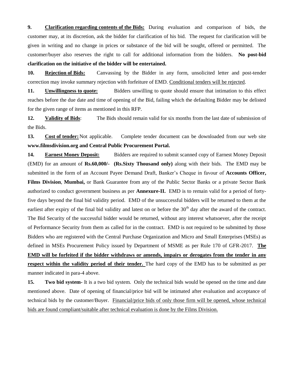**9. Clarification regarding contents of the Bids:** During evaluation and comparison of bids, the customer may, at its discretion, ask the bidder for clarification of his bid. The request for clarification will be given in writing and no change in prices or substance of the bid will be sought, offered or permitted. The customer/buyer also reserves the right to call for additional information from the bidders. **No post-bid clarification on the initiative of the bidder will be entertained.**

**10. Rejection of Bids:** Canvassing by the Bidder in any form, unsolicited letter and post-tender correction may invoke summary rejection with forfeiture of EMD. Conditional tenders will be rejected.

**11. Unwillingness to quote:** Bidders unwilling to quote should ensure that intimation to this effect reaches before the due date and time of opening of the Bid, failing which the defaulting Bidder may be delisted for the given range of items as mentioned in this RFP.

**12. Validity of Bids**: The Bids should remain valid for six months from the last date of submission of the Bids.

**13. Cost of tender:** Not applicable. Complete tender document can be downloaded from our web site **www.filmsdivision.org and Central Public Procurement Portal.**

**14. Earnest Money Deposit:** Bidders are required to submit scanned copy of Earnest Money Deposit (EMD) for an amount of **Rs.60,000/- (Rs.Sixty Thousand only)** along with their bids. The EMD may be submitted in the form of an Account Payee Demand Draft, Banker"s Cheque in favour of **Accounts Officer, Films Division**, **Mumbai,** or Bank Guarantee from any of the Public Sector Banks or a private Sector Bank authorized to conduct government business as per **Annexure-II.** EMD is to remain valid for a period of fortyfive days beyond the final bid validity period. EMD of the unsuccessful bidders will be returned to them at the earliest after expiry of the final bid validity and latest on or before the  $30<sup>th</sup>$  day after the award of the contract. The Bid Security of the successful bidder would be returned, without any interest whatsoever, after the receipt of Performance Security from them as called for in the contract. EMD is not required to be submitted by those Bidders who are registered with the Central Purchase Organization and Micro and Small Enterprises (MSEs) as defined in MSEs Procurement Policy issued by Department of MSME as per Rule 170 of GFR-2017. **The EMD will be forfeited if the bidder withdraws or amends, impairs or derogates from the tender in any respect within the validity period of their tender.** The hard copy of the EMD has to be submitted as per manner indicated in para-4 above.

**15. Two bid system-** It is a two bid system. Only the technical bids would be opened on the time and date mentioned above. Date of opening of financial/price bid will be intimated after evaluation and acceptance of technical bids by the customer/Buyer. Financial/price bids of only those firm will be opened, whose technical bids are found compliant/suitable after technical evaluation is done by the Films Division.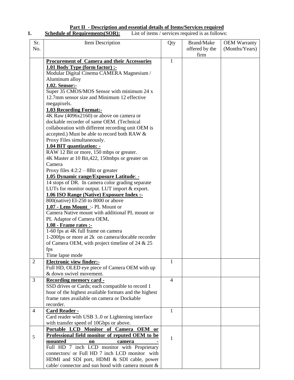#### **Part II - Description and essential details of Items/Services required 1. Schedule of Requirements(SOR):** List of items / services required is as follows:

| Sr.            | Item Description                                                                                     | Qty          | <b>Brand/Make</b> | <b>OEM Warranty</b> |
|----------------|------------------------------------------------------------------------------------------------------|--------------|-------------------|---------------------|
| No.            |                                                                                                      |              | offered by the    | (Months/Years)      |
|                |                                                                                                      |              | firm              |                     |
|                | <b>Procurement of Camera and their Accessories</b>                                                   | $\mathbf{1}$ |                   |                     |
|                | 1.01 Body Type (form factor) :-                                                                      |              |                   |                     |
|                | Modular Digital Cinema CAMERA Magnesium /                                                            |              |                   |                     |
|                | Aluminum alloy                                                                                       |              |                   |                     |
|                | 1.02. Sensor:-                                                                                       |              |                   |                     |
|                | Super 35 CMOS/MOS Sensor with minimum 24 x                                                           |              |                   |                     |
|                | 12.7mm sensor size and Minimum 12 effective                                                          |              |                   |                     |
|                | megapixels.                                                                                          |              |                   |                     |
|                | <b>1.03 Recording Format:-</b>                                                                       |              |                   |                     |
|                | 4K Raw (4096x2160) or above on camera or                                                             |              |                   |                     |
|                | dockable recorder of same OEM. (Technical                                                            |              |                   |                     |
|                | collaboration with different recording unit OEM is                                                   |              |                   |                     |
|                | accepted.) Must be able to record both RAW &                                                         |              |                   |                     |
|                | Proxy Files simultaneously.                                                                          |              |                   |                     |
|                | 1.04 BIT quantization: -                                                                             |              |                   |                     |
|                | RAW 12 Bit or more, 150 mbps or greater.                                                             |              |                   |                     |
|                | 4K Master at 10 Bit, 422, 150mbps or greater on                                                      |              |                   |                     |
|                | Camera                                                                                               |              |                   |                     |
|                | Proxy files $4:2:2-8$ Bit or greater                                                                 |              |                   |                     |
|                | 1.05 Dynamic range/Exposure Latitude: -                                                              |              |                   |                     |
|                | 14 stops of DR. In camera color grading separate                                                     |              |                   |                     |
|                | LUTs for monitor output. LUT import & export.                                                        |              |                   |                     |
|                | 1.06 ISO Range (Native) Exposure Index :-                                                            |              |                   |                     |
|                | 800(native) EI-250 to 8000 or above                                                                  |              |                   |                     |
|                | 1.07 - Lens Mount :- PL Mount or                                                                     |              |                   |                     |
|                | Camera Native mount with additional PL mount or                                                      |              |                   |                     |
|                | PL Adaptor of Camera OEM.                                                                            |              |                   |                     |
|                | 1.08 - Frame rates :-                                                                                |              |                   |                     |
|                | 1-60 fps at 4K full frame on camera                                                                  |              |                   |                     |
|                | 1-200fps or more at 2k on camera/docable recorder                                                    |              |                   |                     |
|                | of Camera OEM, with project timeline of 24 & 25                                                      |              |                   |                     |
|                | fps                                                                                                  |              |                   |                     |
|                | Time lapse mode                                                                                      |              |                   |                     |
| $\overline{2}$ | <b>Electronic view finder:-</b>                                                                      | 1            |                   |                     |
|                | Full HD, OLED eye piece of Camera OEM with up                                                        |              |                   |                     |
|                | & down swivel movement.                                                                              |              |                   |                     |
| 3              | <b>Recording memory card -</b>                                                                       | 4            |                   |                     |
|                | SSD drives or Cards; each compatible to record 1                                                     |              |                   |                     |
|                | hour of the highest available formats and the highest<br>frame rates available on camera or Dockable |              |                   |                     |
|                |                                                                                                      |              |                   |                     |
|                | recorder.                                                                                            | 1            |                   |                     |
| 4              | <b>Card Reader -</b><br>Card reader with USB 30 or Lightening interface                              |              |                   |                     |
|                | with transfer speed of 10Gbps or above.                                                              |              |                   |                     |
|                | Portable LCD Monitor of Camera OEM or                                                                |              |                   |                     |
|                | Professional field monitor of reputed OEM to be                                                      |              |                   |                     |
| 5              | mounted<br>on<br>camera                                                                              | 1            |                   |                     |
|                | Full HD 7 inch LCD monitor with Proprietary                                                          |              |                   |                     |
|                | connectors/ or Full HD 7 inch LCD monitor with                                                       |              |                   |                     |
|                | HDMI and SDI port, HDMI & SDI cable, power                                                           |              |                   |                     |
|                | cable/ connector and sun hood with camera mount &                                                    |              |                   |                     |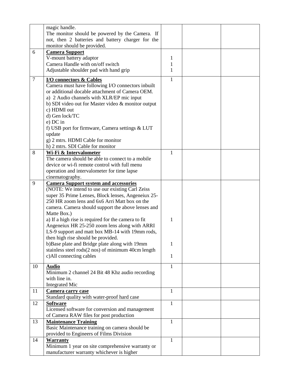|        | magic handle.                                       |              |  |
|--------|-----------------------------------------------------|--------------|--|
|        | The monitor should be powered by the Camera. If     |              |  |
|        | not, then 2 batteries and battery charger for the   |              |  |
|        | monitor should be provided.                         |              |  |
| 6      | <b>Camera Support</b>                               |              |  |
|        | V-mount battery adaptor                             | 1            |  |
|        | Camera Handle with on/off switch                    | 1            |  |
|        |                                                     | $\mathbf{1}$ |  |
|        | Adjustable shoulder pad with hand grip              |              |  |
| $\tau$ | I/O connectors & Cables                             | $\mathbf{1}$ |  |
|        | Camera must have following I/O connectors inbuilt   |              |  |
|        | or additional docable attachment of Camera OEM.     |              |  |
|        | a) 2 Audio channels with XLR/EP mic input           |              |  |
|        | b) SDI video out for Master video & monitor output  |              |  |
|        | c) HDMI out                                         |              |  |
|        | d) Gen lock/TC                                      |              |  |
|        | e) DC in                                            |              |  |
|        | f) USB port for firmware, Camera settings & LUT     |              |  |
|        |                                                     |              |  |
|        | update                                              |              |  |
|        | g) 2 mtrs. HDMI Cable for monitor                   |              |  |
|        | h) 2 mtrs. SDI Cable for monitor                    |              |  |
| 8      | Wi-Fi & Intervalometer                              | 1            |  |
|        | The camera should be able to connect to a mobile    |              |  |
|        | device or wi-fi remote control with full menu       |              |  |
|        | operation and intervalometer for time lapse         |              |  |
|        | cinematography.                                     |              |  |
| 9      | <b>Camera Support system and accessories</b>        |              |  |
|        | (NOTE: We intend to use our existing Carl Zeiss)    |              |  |
|        | super 35 Prime Lenses, Block lenses, Angeneiux 25-  |              |  |
|        | 250 HR zoom lens and 6x6 Arri Matt box on the       |              |  |
|        | camera. Camera should support the above lenses and  |              |  |
|        | Matte Box.)                                         |              |  |
|        | a) If a high rise is required for the camera to fit | 1            |  |
|        | Angeneiux HR 25-250 zoom lens along with ARRI       |              |  |
|        | LS-9 support and matt box MB-14 with 19mm rods,     |              |  |
|        | then high rise should be provided.                  |              |  |
|        | b)Base plate and Bridge plate along with 19mm       | 1            |  |
|        | stainless steel rods(2 nos) of minimum 40cm length  |              |  |
|        |                                                     | $\mathbf 1$  |  |
|        | c)All connecting cables                             |              |  |
| 10     | <b>Audio</b>                                        | 1            |  |
|        | Minimum 2 channel 24 Bit 48 Khz audio recording     |              |  |
|        | with line in.                                       |              |  |
|        | <b>Integrated Mic</b>                               |              |  |
| 11     | <b>Camera carry case</b>                            | 1            |  |
|        | Standard quality with water-proof hard case         |              |  |
| 12     | <b>Software</b>                                     | $\mathbf{1}$ |  |
|        | Licensed software for conversion and management     |              |  |
|        | of Camera RAW files for post production             |              |  |
| 13     | <b>Maintenance Training</b>                         | 1            |  |
|        | Basic Maintenance training on camera should be      |              |  |
|        |                                                     |              |  |
|        | provided to Engineers of Films Division             |              |  |
| 14     | <b>Warranty</b>                                     | 1            |  |
|        | Minimum 1 year on site comprehensive warranty or    |              |  |
|        | manufacturer warranty whichever is higher           |              |  |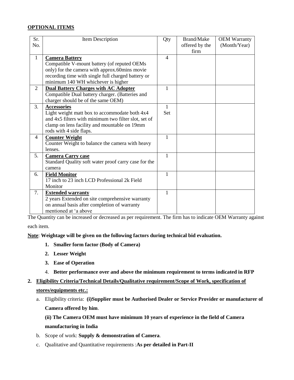### **OPTIONAL ITEMS**

| Sr.            | Item Description                                     | Qty            | Brand/Make     | <b>OEM Warranty</b> |
|----------------|------------------------------------------------------|----------------|----------------|---------------------|
| No.            |                                                      |                | offered by the | (Month/Year)        |
|                |                                                      |                | firm           |                     |
| $\mathbf{1}$   | <b>Camera Battery</b>                                | $\overline{4}$ |                |                     |
|                | Compatible V-mount battery (of reputed OEMs          |                |                |                     |
|                | only) for the camera with approx.60mins movie        |                |                |                     |
|                | recording time with single full charged battery or   |                |                |                     |
|                | minimum 140 WH whichever is higher                   |                |                |                     |
| $\overline{2}$ | <b>Dual Battery Charges with AC Adopter</b>          | 1              |                |                     |
|                | Compatible Dual battery charger. (Batteries and      |                |                |                     |
|                | charger should be of the same OEM)                   |                |                |                     |
| 3.             | <b>Accessories</b>                                   | 1              |                |                     |
|                | Light weight matt box to accommodate both 4x4        | <b>Set</b>     |                |                     |
|                | and 4x5 filters with minimum two filter slot, set of |                |                |                     |
|                | clamp on lens facility and mountable on 19mm         |                |                |                     |
|                | rods with 4 side flaps.                              |                |                |                     |
| $\overline{4}$ | <b>Counter Weight</b>                                | $\mathbf{1}$   |                |                     |
|                | Counter Weight to balance the camera with heavy      |                |                |                     |
|                | lenses.                                              |                |                |                     |
| 5.             | <b>Camera Carry case</b>                             | 1              |                |                     |
|                | Standard Quality soft water proof carry case for the |                |                |                     |
|                | camera                                               |                |                |                     |
| 6.             | <b>Field Monitor</b>                                 | 1              |                |                     |
|                | 17 inch to 23 inch LCD Professional 2k Field         |                |                |                     |
|                | Monitor                                              |                |                |                     |
| 7.             | <b>Extended warranty</b>                             | 1              |                |                     |
|                | 2 years Extended on site comprehensive warranty      |                |                |                     |
|                | on annual basis after completion of warranty         |                |                |                     |
|                | mentioned at 'a above                                |                |                |                     |

The Quantity can be increased or decreased as per requirement. The firm has to indicate OEM Warranty against

each item.

**Note**: **Weightage will be given on the following factors during technical bid evaluation.**

- **1. Smaller form factor (Body of Camera)**
- **2. Lesser Weight**
- **3. Ease of Operation**
- 4. **Better performance over and above the minimum requirement to terms indicated in RFP**
- **2. Eligibility Criteria/Technical Details/Qualitative requirement/Scope of Work, specification of stores/equipments etc.:** 
	- a. Eligibility criteria: **(i)Supplier must be Authorised Dealer or Service Provider or manufacturer of Camera offered by him**.

**(ii) The Camera OEM must have minimum 10 years of experience in the field of Camera manufacturing in India**

- b. Scope of work: **Supply & demonstration of Camera**.
- c. Qualitative and Quantitative requirements :**As per detailed in Part-II**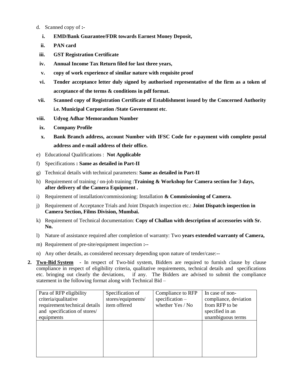- d. Scanned copy of **:**
	- **i. EMD/Bank Guarantee/FDR towards Earnest Money Deposit,**
	- **ii. PAN card**
- **iii. GST Registration Certificate**
- **iv. Annual Income Tax Return filed for last three years,**
- **v. copy of work experience of similar nature with requisite proof**
- **vi. Tender acceptance letter duly signed by authorised representative of the firm as a token of acceptance of the terms & conditions in pdf format.**
- **vii. Scanned copy of Registration Certificate of Establishment issued by the Concerned Authority i.e. Municipal Corporation /State Government etc**.
- **viii. Udyog Adhar Memorandum Number**
- **ix. Company Profile**
- **x. Bank Branch address, account Number with IFSC Code for e-payment with complete postal address and e-mail address of their office.**
- e) Educational Qualifications : **Not Applicable**
- f) Specifications **: Same as detailed in Part-II**
- g) Technical details with technical parameters: **Same as detailed in Part-II**
- h) Requirement of training / on-job training :**Training & Workshop for Camera section for 3 days, after delivery of the Camera Equipment .**
- i) Requirement of installation/commissioning: Installation **& Commissioning of Camera.**
- j) Requirement of Acceptance Trials and Joint Dispatch inspection etc.: **Joint Dispatch inspection in Camera Section, Films Division, Mumbai.**
- k) Requirement of Technical documentation: **Copy of Challan with description of accessories with Sr. No.**
- l) Nature of assistance required after completion of warranty: Two **years extended warranty of Camera,**
- m) Requirement of pre-site/equipment inspection **:--**
- n) Any other details, as considered necessary depending upon nature of tender/case:**--**
- **2. Two-Bid System -** In respect of Two-bid system, Bidders are required to furnish clause by clause compliance in respect of eligibility criteria, qualitative requirements, technical details and specifications etc. bringing out clearly the deviations, if any. The Bidders are advised to submit the compliance statement in the following format along with Technical Bid –

| Para of RFP eligibility       | Specification of   | Compliance to RFP | In case of non-       |
|-------------------------------|--------------------|-------------------|-----------------------|
| criteria/qualitative          | stores/equipments/ | $specification -$ | compliance, deviation |
| requirement/technical details | item offered       | whether Yes / No  | from RFP to be        |
| and specification of stores/  |                    |                   | specified in an       |
| equipments                    |                    |                   | unambiguous terms     |
|                               |                    |                   |                       |
|                               |                    |                   |                       |
|                               |                    |                   |                       |
|                               |                    |                   |                       |
|                               |                    |                   |                       |
|                               |                    |                   |                       |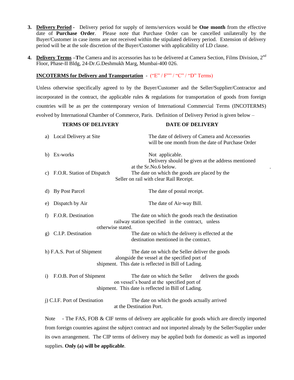- **3. Delivery Period -** Delivery period for supply of items/services would be **One month** from the effective date of **Purchase Order**. Please note that Purchase Order can be cancelled unilaterally by the Buyer/Customer in case items are not received within the stipulated delivery period. Extension of delivery period will be at the sole discretion of the Buyer/Customer with applicability of LD clause.
- **4. Delivery Terms –T**he Camera and its accessories has to be delivered at Camera Section, Films Division, 2nd Floor, Phase-II Bldg, 24-Dr.G.Deshmukh Marg, Mumbai-400 026.

### **INCOTERMS for Delivery and Transportation** - ("E" / F"" / "C" / "D" Terms)

Unless otherwise specifically agreed to by the Buyer/Customer and the Seller/Supplier/Contractor and incorporated in the contract, the applicable rules  $\&$  regulations for transportation of goods from foreign countries will be as per the contemporary version of International Commercial Terms (INCOTERMS) evolved by International Chamber of Commerce, Paris. Definition of Delivery Period is given below –

|              | <b>TERMS OF DELIVERY</b>      | <b>DATE OF DELIVERY</b>                                                                                                                                 |
|--------------|-------------------------------|---------------------------------------------------------------------------------------------------------------------------------------------------------|
|              | a) Local Delivery at Site     | The date of delivery of Camera and Accessories<br>will be one month from the date of Purchase Order                                                     |
|              | b) Ex-works                   | Not applicable.<br>Delivery should be given at the address mentioned                                                                                    |
|              | c) F.O.R. Station of Dispatch | at the Sr.No.6 below.<br>The date on which the goods are placed by the<br>Seller on rail with clear Rail Receipt.                                       |
| d)           | <b>By Post Parcel</b>         | The date of postal receipt.                                                                                                                             |
| e)           | Dispatch by Air               | The date of Air-way Bill.                                                                                                                               |
| f)           | F.O.R. Destination            | The date on which the goods reach the destination<br>railway station specified in the contract, unless<br>otherwise stated.                             |
| g)           | C.I.P. Destination            | The date on which the delivery is effected at the<br>destination mentioned in the contract.                                                             |
|              | h) F.A.S. Port of Shipment    | The date on which the Seller deliver the goods<br>alongside the vessel at the specified port of<br>shipment. This date is reflected in Bill of Lading.  |
| $\mathbf{i}$ | F.O.B. Port of Shipment       | The date on which the Seller<br>delivers the goods<br>on vessel's board at the specified port of<br>shipment. This date is reflected in Bill of Lading. |
|              | j) C.I.F. Port of Destination | The date on which the goods actually arrived<br>at the Destination Port.                                                                                |

Note - The FAS, FOB & CIF terms of delivery are applicable for goods which are directly imported from foreign countries against the subject contract and not imported already by the Seller/Supplier under its own arrangement. The CIP terms of delivery may be applied both for domestic as well as imported supplies. **Only (a) will be applicable**.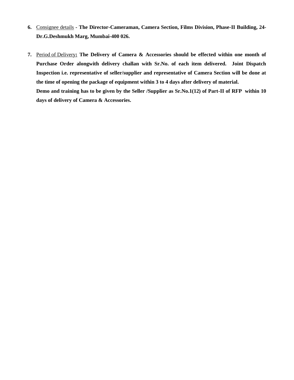- **6.** Consignee details **- The Director-Cameraman, Camera Section, Films Division, Phase-II Building, 24- Dr.G.Deshmukh Marg, Mumbai-400 026.**
- **7.** Period of Delivery**: The Delivery of Camera & Accessories should be effected within one month of Purchase Order alongwith delivery challan with Sr.No. of each item delivered. Joint Dispatch Inspection i.e. representative of seller/supplier and representative of Camera Section will be done at the time of opening the package of equipment within 3 to 4 days after delivery of material. Demo and training has to be given by the Seller /Supplier as Sr.No.1(12) of Part-II of RFP within 10 days of delivery of Camera & Accessories.**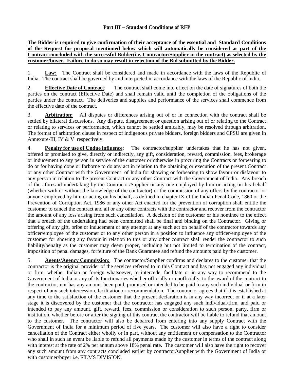# **Part III – Standard Conditions of RFP**

### **The Bidder is required to give confirmation of their acceptance of the essential and Standard Conditions of the Request for proposal mentioned below which will automatically be considered as part of the Contract concluded with the successful Bidder(i.e. Contractor/Supplier in the contract) as selected by the customer/buyer. Failure to do so may result in rejection of the Bid submitted by the Bidder.**

1. **Law:** The Contract shall be considered and made in accordance with the laws of the Republic of India. The contract shall be governed by and interpreted in accordance with the laws of the Republic of India.

2. **Effective Date of Contract**: The contract shall come into effect on the date of signatures of both the parties on the contract (Effective Date) and shall remain valid until the completion of the obligations of the parties under the contract. The deliveries and supplies and performance of the services shall commence from the effective date of the contract.

3. **Arbitration:** All disputes or differences arising out of or in connection with the contract shall be settled by bilateral discussions. Any dispute, disagreement or question arising out of or relating to the Contract or relating to services or performance, which cannot be settled amicably, may be resolved through arbitration. The format of arbitration clause in respect of indigenous private bidders, foreign bidders and CPSU are given in Annexure-III, IV & V respectively.

4. **Penalty for use of Undue influence**: The contractor/supplier undertakes that he has not given, offered or promised to give, directly or indirectly, any gift, consideration, reward, commission, fees, brokerage or inducement to any person in service of the customer or otherwise in procuring the Contracts or forbearing to do or for having done or forborne to do any act in relation to the obtaining or execution of the present Contract or any other Contract with the Government of India for showing or forbearing to show favour or disfavour to any person in relation to the present Contract or any other Contract with the Government of India. Any breach of the aforesaid undertaking by the Contractor/Supplier or any one employed by him or acting on his behalf (whether with or without the knowledge of the contractor) or the commission of any offers by the contractor or anyone employed by him or acting on his behalf, as defined in chapter IX of the Indian Penal Code, 1860 or the Prevention of Corruption Act, 1986 or any other Act enacted for the prevention of corruption shall entitle the customer to cancel the contract and all or any other contracts with the contractor and recover from the contractor the amount of any loss arising from such cancellation. A decision of the customer or his nominee to the effect that a breach of the undertaking had been committed shall be final and binding on the Contractor. Giving or offering of any gift, bribe or inducement or any attempt at any such act on behalf of the contractor towards any officer/employee of the customer or to any other person in a position to influence any officer/employee of the customer for showing any favour in relation to this or any other contract shall render the contractor to such liability/penalty as the customer may deem proper, including but not limited to termination of the contract, imposition of penal damages, forfeiture of the Bank Guarantee and refund the amounts paid by the customer.

5. **Agents/Agency Commission:** The contractor/Supplier confirms and declares to the customer that the contractor is the original provider of the services referred to in this Contract and has not engaged any individual or firm, whether Indian or foreign whatsoever, to intercede, facilitate or in any way to recommend to the Government of India or any of its functionaries whether officially or unofficially, to the award of the contract to the contractor, nor has any amount been paid, promised or intended to be paid to any such individual or firm in respect of any such intercession, facilitation or recommendation. The contractor agrees that if it is established at any time to the satisfaction of the customer that the present declaration is in any way incorrect or if at a later stage it is discovered by the customer that the contractor has engaged any such individual/firm, and paid or intended to pay any amount, gift, reward, fees, commission or consideration to such person, party, firm or institution, whether before or after the signing of this contract the contractor will be liable to refund that amount to the customer. The contractor will also be debarred from entering into any supply Contract with the Government of India for a minimum period of five years. The customer will also have a right to consider cancellation of the Contract either wholly or in part, without any entitlement or compensation to the Contractor who shall in such an event be liable to refund all payments made by the customer in terms of the contract along with interest at the rate of 2% per annum above 18% penal rate. The customer will also have the right to recover any such amount from any contracts concluded earlier by contractor/supplier with the Government of India or with customer/buyer i.e. FILMS DIVISION.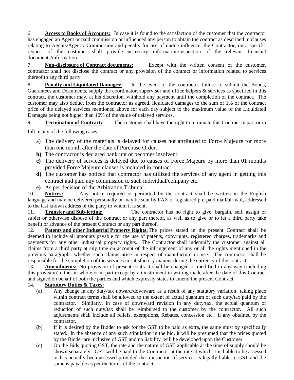6. **Access to Books of Accounts:** In case it is found to the satisfaction of the customer that the contractor has engaged an Agent or paid commission or influenced any person to obtain the contract as described in clauses relating to Agents/Agency Commission and penalty for use of undue influence, the Contractor, on a specific request of the customer shall provide necessary information/inspection of the relevant financial documents/information.

7. **Non-disclosure of Contract documents:** Except with the written consent of the customer, contractor shall not disclose the contract or any provision of the contract or information related to services thereof to any third party.

8. **Penalty and Liquidated Damages:** In the event of the contractor failure to submit the Bonds, Guarantees and Documents, supply the coordinator, supervisor and office helpers & services as specified in this contract, the customer may, at his discretion, withhold any payment until the completion of the contract. The customer may also deduct from the contractor as agreed, liquidated damages to the sum of 1% of the contract price of the delayed services mentioned above for each day subject to the maximum value of the Liquidated Damages being not higher than 10% of the value of delayed services.

9. **Termination of Contract:** The customer shall have the right to terminate this Contract in part or in

full in any of the following cases:-

- a) The delivery of the materials is delayed for causes not attributed to Force Majeure for more than one month after the date of Purchase Order.
- **b)** The contractor is declared bankrupt or becomes insolvent.
- **c)** The delivery of services is delayed due to causes of Force Majeure by more than 01 months provided Force Majeure clauses is included in contract.
- **d)** The customer has noticed that contractor has utilized the services of any agent in getting this contract and paid any commission to such individual/company etc.
- **e)** As per decision of the Arbitration Tribunal.

10. **Notices:** Any notice required or permitted by the contract shall be written in the English language and may be delivered personally or may be sent by FAX or registered pre-paid mail/airmail, addressed to the last known address of the party to whom it is sent.

11. **Transfer and Sub-letting:** The contractor has no right to give, bargain, sell, assign or sublet or otherwise dispose of the contract or any part thereof, as well as to give or to let a third party take benefit or advance of the present Contract or any part thereof.

12. **Patents and other Industrial Property Rights:**The prices stated in the present Contract shall be deemed to include all amounts payable for the use of patents, copyrights, registered charges, trademarks and payments for any other industrial property rights. The Contractor shall indemnify the customer against all claims from a third party at any time on account of the infringement of any or all the rights mentioned in the previous paragraphs whether such claims arise in respect of manufacture or use. The contractor shall be responsible for the completion of the services in satisfactory manner during the currency of the contract.

13. **Amendments:** No provision of present contract shall be changed or modified in any way (including this provision) either in whole or in part except by an instrument in writing made after the date of this Contract and signed on behalf of both the parties and which expressly states to amend the present Contract.

# 14. **Statutory Duties & Taxes:**

- (a) Any change in any duty/tax upward/downward as a result of any statutory variation taking place within contract terms shall be allowed to the extent of actual quantum of such duty/tax paid by the contractor. Similarly, in case of downward revision in any duty/tax, the actual quantum of reduction of such duty/tax shall be reimbursed to the customer by the contractor. All such adjustments shall include all reliefs, exemptions, Rebates, concession etc. if any obtained by the contractor.
- (b) If it is desired by the Bidder to ask for the GST to be paid as extra, the same must by specifically stated. In the absence of any such stipulation in the bid, it will be presumed that the prices quoted by the Bidder are inclusive of GST and no liability will be developed upon the Customer.
- (c) On the Bids quoting GST, the rate and the nature of GST applicable at the time of supply should be shown separately. GST will be paid to the Contractor at the rate at which it is liable to be assessed or has actually been assessed provided the transaction of services is legally liable to GST and the same is payable as per the terms of the contract.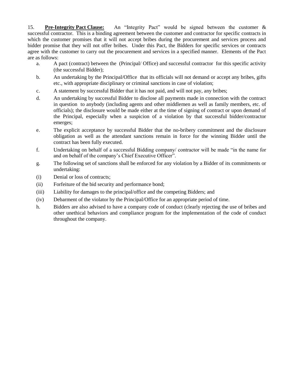15. **Pre-Integrity Pact Clause:** An "Integrity Pact" would be signed between the customer & successful contractor. This is a binding agreement between the customer and contractor for specific contracts in which the customer promises that it will not accept bribes during the procurement and services process and bidder promise that they will not offer bribes. Under this Pact, the Bidders for specific services or contracts agree with the customer to carry out the procurement and services in a specified manner. Elements of the Pact are as follows:

- a. A pact (contract) between the (Principal/ Office) and successful contractor for this specific activity (the successful Bidder);
- b. An undertaking by the Principal/Office that its officials will not demand or accept any bribes, gifts etc., with appropriate disciplinary or criminal sanctions in case of violation;
- c. A statement by successful Bidder that it has not paid, and will not pay, any bribes;
- d. An undertaking by successful Bidder to disclose all payments made in connection with the contract in question to anybody (including agents and other middlemen as well as family members, etc. of officials); the disclosure would be made either at the time of signing of contract or upon demand of the Principal, especially when a suspicion of a violation by that successful bidder/contractor emerges;
- e. The explicit acceptance by successful Bidder that the no-bribery commitment and the disclosure obligation as well as the attendant sanctions remain in force for the winning Bidder until the contract has been fully executed.
- f. Undertaking on behalf of a successful Bidding company/ contractor will be made "in the name for and on behalf of the company's Chief Executive Officer".
- g. The following set of sanctions shall be enforced for any violation by a Bidder of its commitments or undertaking:
- (i) Denial or loss of contracts;
- (ii) Forfeiture of the bid security and performance bond;
- (iii) Liability for damages to the principal/office and the competing Bidders; and
- (iv) Debarment of the violator by the Principal/Office for an appropriate period of time.
- h. Bidders are also advised to have a company code of conduct (clearly rejecting the use of bribes and other unethical behaviors and compliance program for the implementation of the code of conduct throughout the company.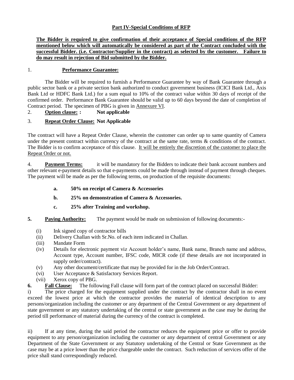# **Part IV-Special Conditions of RFP**

**The Bidder is required to give confirmation of their acceptance of Special conditions of the RFP mentioned below which will automatically be considered as part of the Contract concluded with the successful Bidder. (i.e. Contractor/Supplier in the contract) as selected by the customer. Failure to do may result in rejection of Bid submitted by the Bidder.**

### 1. **Performance Guarantee:**

The Bidder will be required to furnish a Performance Guarantee by way of Bank Guarantee through a public sector bank or a private section bank authorized to conduct government business (ICICI Bank Ltd., Axis Bank Ltd or HDFC Bank Ltd.) for a sum equal to 10% of the contract value within 30 days of receipt of the confirmed order. Performance Bank Guarantee should be valid up to 60 days beyond the date of completion of Contract period. The specimen of PBG is given in Annexure VI.

# 2. **Option clause: : Not applicable**

# 3. **Repeat Order Clause: Not Applicable**

The contract will have a Repeat Order Clause, wherein the customer can order up to same quantity of Camera under the present contract within currency of the contract at the same rate, terms & conditions of the contract. The Bidder is to confirm acceptance of this clause. It will be entirely the discretion of the customer to place the Repeat Order or not.

4. **Payment Terms:** it will be mandatory for the Bidders to indicate their bank account numbers and other relevant e-payment details so that e-payments could be made through instead of payment through cheques. The payment will be made as per the following terms, on production of the requisite documents:

- **a. 50% on receipt of Camera & Accessories**
- **b. 25% on demonstration of Camera & Accessories.**
- **c. 25% after Training and workshop.**
- **5. Paying Authority:** The payment would be made on submission of following documents:-
	- (i) Ink signed copy of contractor bills
	- (ii) Delivery Challan with Sr.No. of each item indicated in Challan.
	- (iii) Mandate Form
	- (iv) Details for electronic payment viz Account holder"s name, Bank name, Branch name and address, Account type, Account number, IFSC code, MICR code (if these details are not incorporated in supply order/contract).
	- (v) Any other document/certificate that may be provided for in the Job Order/Contract.
	- (vi) User Acceptance & Satisfactory Services Report.
	- (vii) Xerox copy of PBG.
- **6. Fall Clause:** The following Fall clause will form part of the contract placed on successful Bidder:

i) The price charged for the equipment supplied under the contract by the contractor shall in no event exceed the lowest price at which the contractor provides the material of identical description to any persons/organization including the customer or any department of the Central Government or any department of state government or any statutory undertaking of the central or state government as the case may be during the period till performance of material during the currency of the contract is completed.

ii) If at any time, during the said period the contractor reduces the equipment price or offer to provide equipment to any person/organization including the customer or any department of central Government or any Department of the State Government or any Statutory undertaking of the Central or State Government as the case may be at a price lower than the price chargeable under the contract. Such reduction of services offer of the price shall stand correspondingly reduced.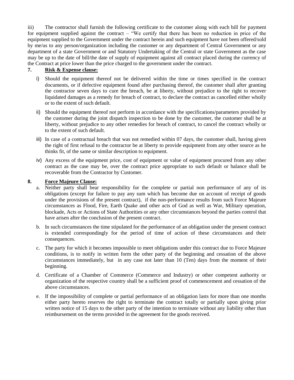iii) The contractor shall furnish the following certificate to the customer along with each bill for payment for equipment supplied against the contract – "We certify that there has been no reduction in price of the equipment supplied to the Government under the contract herein and such equipment have not been offered/sold by me/us to any person/organization including the customer or any department of Central Government or any department of a state Government or and Statutory Undertaking of the Central or state Government as the case may be up to the date of bill/the date of supply of equipment against all contract placed during the currency of the Contract at price lower than the price charged to the government under the contract.

# **7. Risk & Expense clause:**

- i) Should the equipment thereof not be delivered within the time or times specified in the contract documents, or if defective equipment found after purchasing thereof, the customer shall after granting the contractor seven days to cure the breach, be at liberty, without prejudice to the right to recover liquidated damages as a remedy for breach of contract, to declare the contract as cancelled either wholly or to the extent of such default.
- ii) Should the equipment thereof not perform in accordance with the specifications/parameters provided by the customer during the joint dispatch inspection to be done by the customer, the customer shall be at liberty, without prejudice to any other remedies for breach of contract, to cancel the contract wholly or to the extent of such default.
- iii) In case of a contractual breach that was not remedied within 07 days, the customer shall, having given the right of first refusal to the contractor be at liberty to provide equipment from any other source as he thinks fit, of the same or similar description to equipment.
- iv) Any excess of the equipment price, cost of equipment or value of equipment procured from any other contract as the case may be, over the contract price appropriate to such default or balance shall be recoverable from the Contractor by Customer.

# **8. Force Majeure Clause:**

- a. Neither party shall bear responsibility for the complete or partial non performance of any of its obligations (except for failure to pay any sum which has become due on account of receipt of goods under the provisions of the present contract), if the non-performance results from such Force Majeure circumstances as Flood, Fire, Earth Quake and other acts of God as well as War, Military operation, blockade, Acts or Actions of State Authorities or any other circumstances beyond the parties control that have arisen after the conclusion of the present contract.
- b. In such circumstances the time stipulated for the performance of an obligation under the present contract is extended correspondingly for the period of time of action of these circumstances and their consequences.
- c. The party for which it becomes impossible to meet obligations under this contract due to Force Majeure conditions, is to notify in written form the other party of the beginning and cessation of the above circumstances immediately, but in any case not later than 10 (Ten) days from the moment of their beginning.
- d. Certificate of a Chamber of Commerce (Commerce and Industry) or other competent authority or organization of the respective country shall be a sufficient proof of commencement and cessation of the above circumstances.
- e. If the impossibility of complete or partial performance of an obligation lasts for more than one months either party hereto reserves the right to terminate the contract totally or partially upon giving prior written notice of 15 days to the other party of the intention to terminate without any liability other than reimbursement on the terms provided in the agreement for the goods received.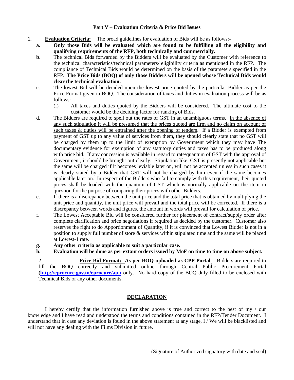### **Part V – Evaluation Criteria & Price Bid Issues**

- **1. Evaluation Criteria:** The broad guidelines for evaluation of Bids will be as follows:
	- **a. Only those Bids will be evaluated which are found to be fulfilling all the eligibility and qualifying requirements of the RFP, both technically and commercially.**
	- **b.** The technical Bids forwarded by the Bidders will be evaluated by the Customer with reference to the technical characteristics/technical parameters/ eligibility criteria as mentioned in the RFP. The compliance of Technical Bids would be determined on the basis of the parameters specified in the RFP. **The Price Bids (BOQ) of only those Bidders will be opened whose Technical Bids would clear the technical evaluation.**
	- c. The lowest Bid will be decided upon the lowest price quoted by the particular Bidder as per the Price Format given in BOQ. The consideration of taxes and duties in evaluation process will be as follows:
		- (i) All taxes and duties quoted by the Bidders will be considered. The ultimate cost to the customer would be the deciding factor for ranking of Bids.
	- d. The Bidders are required to spell out the rates of GST in an unambiguous terms. In the absence of any such stipulation it will be presumed that the prices quoted are firm and no claim on account of such taxes & duties will be entrained after the opening of tenders. If a Bidder is exempted from payment of GST up to any value of services from them, they should clearly state that no GST will be charged by them up to the limit of exemption by Government which they may have The documentary evidence for exemption of any statutory duties and taxes has to be produced along with price bid. If any concession is available in regard to rate/quantum of GST with the approval of Government, it should be brought out clearly. Stipulation like, GST is presently not applicable but the same will be charged if it becomes leviable later on, will not be accepted unless in such cases it is clearly stated by a Bidder that GST will not be charged by him even if the same becomes applicable later on. In respect of the Bidders who fail to comply with this requirement, their quoted prices shall be loaded with the quantum of GST which is normally applicable on the item in question for the purpose of comparing their prices with other Bidders.
	- e. If there is a discrepancy between the unit price and the total price that is obtained by multiplying the unit price and quantity, the unit price will prevail and the total price will be corrected. If there is a discrepancy between words and figures, the amount in words will prevail for calculation of price.
	- f. The Lowest Acceptable Bid will be considered further for placement of contract/supply order after complete clarification and price negotiations if required as decided by the customer. Customer also reserves the right to do Apportionment of Quantity, if it is convinced that Lowest Bidder is not in a position to supply full number of store & services within stipulated time and the same will be placed at Lowest-1 rate.
	- **g. Any other criteria as applicable to suit a particular case.**
	- **h. Evaluation will be done as per extant orders issued by MoF on time to time on above subject.**

2. **Price Bid Format: As per BOQ uploaded as CPP Portal**. Bidders are required to fill the BOQ correctly and submitted online through Central Public Procurement Portal **[\(http://eprocure.gov.in/eprocure/app](http://eprocure.gov.in/eprocure/app)** only. No hard copy of the BOQ duly filled to be enclosed with Technical Bids or any other documents.

# **DECLARATION**

I hereby certify that the information furnished above is true and correct to the best of my / our knowledge and I have read and understood the terms and conditions contained in the RFP/Tender Document. I understand that in case any deviation is found in the above statement at any stage, I / We will be blacklisted and will not have any dealing with the Films Division in future.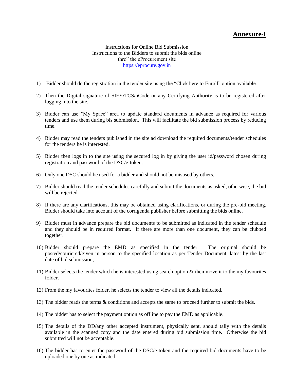# **Annexure-I**

Instructions for Online Bid Submission Instructions to the Bidders to submit the bids online thro" the eProcurement site [https://eprocure.gov.in](https://eprocure.gov.in/)

- 1) Bidder should do the registration in the tender site using the "Click here to Enroll" option available.
- 2) Then the Digital signature of SIFY/TCS/nCode or any Certifying Authority is to be registered after logging into the site.
- 3) Bidder can use "My Space" area to update standard documents in advance as required for various tenders and use them during bis submission. This will facilitate the bid submission process by reducing time.
- 4) Bidder may read the tenders published in the site ad download the required documents/tender schedules for the tenders he is interested.
- 5) Bidder then logs in to the site using the secured log in by giving the user id/password chosen during registration and password of the DSC/e-token.
- 6) Only one DSC should be used for a bidder and should not be misused by others.
- 7) Bidder should read the tender schedules carefully and submit the documents as asked, otherwise, the bid will be rejected.
- 8) If there are any clarifications, this may be obtained using clarifications, or during the pre-bid meeting. Bidder should take into account of the corrigenda publisher before submitting the bids online.
- 9) Bidder must in advance prepare the bid documents to be submitted as indicated in the tender schedule and they should be in required format. If there are more than one document, they can be clubbed together.
- 10) Bidder should prepare the EMD as specified in the tender. The original should be posted/couriered/given in person to the specified location as per Tender Document, latest by the last date of bid submission,
- 11) Bidder selects the tender which he is interested using search option & then move it to the my favourites folder.
- 12) From the my favourites folder, he selects the tender to view all the details indicated.
- 13) The bidder reads the terms & conditions and accepts the same to proceed further to submit the bids.
- 14) The bidder has to select the payment option as offline to pay the EMD as applicable.
- 15) The details of the DD/any other accepted instrument, physically sent, should tally with the details available in the scanned copy and the date entered during bid submission time. Otherwise the bid submitted will not be acceptable.
- 16) The bidder has to enter the password of the DSC/e-token and the required bid documents have to be uploaded one by one as indicated.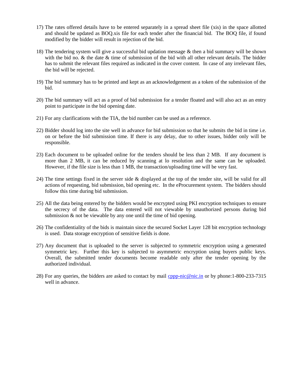- 17) The rates offered details have to be entered separately in a spread sheet file (xis) in the space allotted and should be updated as BOQ.xis file for each tender after the financial bid. The BOQ file, if found modified by the bidder will result in rejection of the bid.
- 18) The tendering system will give a successful bid updation message & then a bid summary will be shown with the bid no. & the date & time of submission of the bid with all other relevant details. The bidder has to submit the relevant files required as indicated in the cover content. In case of any irrelevant files, the bid will be rejected.
- 19) The bid summary has to be printed and kept as an acknowledgement as a token of the submission of the bid.
- 20) The bid summary will act as a proof of bid submission for a tender floated and will also act as an entry point to participate in the bid opening date.
- 21) For any clarifications with the TIA, the bid number can be used as a reference.
- 22) Bidder should log into the site well in advance for bid submission so that he submits the bid in time i.e. on or before the bid submission time. If there is any delay, due to other issues, bidder only will be responsible.
- 23) Each document to be uploaded online for the tenders should be less than 2 MB. If any document is more than 2 MB, it can be reduced by scanning at lo resolution and the same can be uploaded. However, if the file size is less than 1 MB, the transaction/uploading time will be very fast.
- 24) The time settings fixed in the server side & displayed at the top of the tender site, will be valid for all actions of requesting, bid submission, bid opening etc. In the eProcurement system. The bidders should follow this time during bid submission.
- 25) All the data being entered by the bidders would be encrypted using PKI encryption techniques to ensure the secrecy of the data. The data entered will not viewable by unauthorized persons during bid submission & not be viewable by any one until the time of bid opening.
- 26) The confidentiality of the bids is maintain since the secured Socket Layer 128 bit encryption technology is used. Data storage encryption of sensitive fields is done.
- 27) Any document that is uploaded to the server is subjected to symmetric encryption using a generated symmetric key. Further this key is subjected to asymmetric encryption using buyers public keys. Overall, the submitted tender documents become readable only after the tender opening by the authorized individual.
- 28) For any queries, the bidders are asked to contact by mail [cppp-nic@nic.in](mailto:cppp-nic@nic.in) or by phone:1-800-233-7315 well in advance.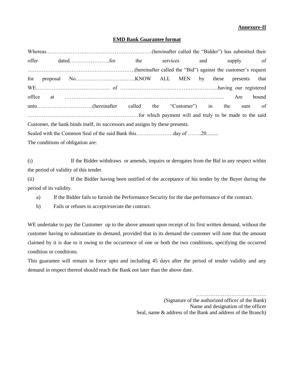### **Annexure-II**

#### **EMD Bank Guarantee format**

|                                                                                |  |  |  |  |  | services and supply of |       |
|--------------------------------------------------------------------------------|--|--|--|--|--|------------------------|-------|
| increased be "Bid") against the customer's request                             |  |  |  |  |  |                        |       |
|                                                                                |  |  |  |  |  |                        |       |
|                                                                                |  |  |  |  |  |                        |       |
|                                                                                |  |  |  |  |  |                        | bound |
|                                                                                |  |  |  |  |  |                        |       |
|                                                                                |  |  |  |  |  |                        |       |
| Customer, the bank binds itself, its successors and assigns by these presents. |  |  |  |  |  |                        |       |
| Sealed with the Common Seal of the said Bank thisday of 20                     |  |  |  |  |  |                        |       |
|                                                                                |  |  |  |  |  |                        |       |

The conditions of obligation are:

(i) If the Bidder withdraws or amends, impairs or derogates from the Bid in any respect within the period of validity of this tender.

(ii) If the Bidder having been notified of the acceptance of his tender by the Buyer during the period of its validity.

a) If the Bidder fails to furnish the Performance Security for the due performance of the contract.

b) Fails or refuses to accept/execute the contract.

WE undertake to pay the Customer up to the above amount upon receipt of its first written demand, without the customer having to substantiate its demand, provided that in its demand the customer will note that the amount claimed by it is due to it owing to the occurrence of one or both the two conditions, specifying the occurred condition or conditions.

This guarantee will remain in force upto and including 45 days after the period of tender validity and any demand in respect thereof should reach the Bank not later than the above date.

> …………………………………. (Signature of the authorized officer of the Bank) Name and designation of the officer Seal, name & address of the Bank and address of the Branch)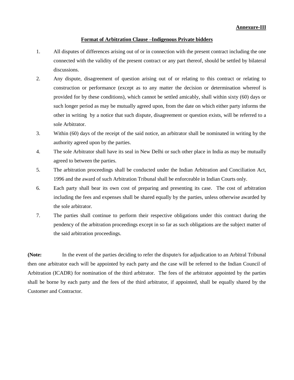#### **Format of Arbitration Clause –Indigenous Private bidders**

- 1. All disputes of differences arising out of or in connection with the present contract including the one connected with the validity of the present contract or any part thereof, should be settled by bilateral discussions.
- 2. Any dispute, disagreement of question arising out of or relating to this contract or relating to construction or performance (except as to any matter the decision or determination whereof is provided for by these conditions), which cannot be settled amicably, shall within sixty (60) days or such longer period as may be mutually agreed upon, from the date on which either party informs the other in writing by a notice that such dispute, disagreement or question exists, will be referred to a sole Arbitrator.
- 3. Within (60) days of the receipt of the said notice, an arbitrator shall be nominated in writing by the authority agreed upon by the parties.
- 4. The sole Arbitrator shall have its seal in New Delhi or such other place in India as may be mutually agreed to between the parties.
- 5. The arbitration proceedings shall be conducted under the Indian Arbitration and Conciliation Act, 1996 and the award of such Arbitration Tribunal shall be enforceable in Indian Courts only.
- 6. Each party shall bear its own cost of preparing and presenting its case. The cost of arbitration including the fees and expenses shall be shared equally by the parties, unless otherwise awarded by the sole arbitrator.
- 7. The parties shall continue to perform their respective obligations under this contract during the pendency of the arbitration proceedings except in so far as such obligations are the subject matter of the said arbitration proceedings.

**(Note:** In the event of the parties deciding to refer the dispute/s for adjudication to an Arbitral Tribunal then one arbitrator each will be appointed by each party and the case will be referred to the Indian Council of Arbitration (ICADR) for nomination of the third arbitrator. The fees of the arbitrator appointed by the parties shall be borne by each party and the fees of the third arbitrator, if appointed, shall be equally shared by the Customer and Contractor.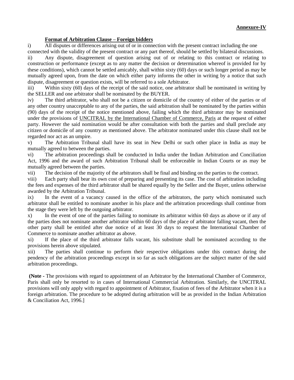### **Annexure-IV**

#### **Format of Arbitration Clause – Foreign bidders**

i) All disputes or differences arising out of or in connection with the present contract including the one connected with the validity of the present contract or any part thereof, should be settled by bilateral discussions.

ii) Any dispute, disagreement of question arising out of or relating to this contract or relating to construction or performance (except as to any matter the decision or determination whereof is provided for by these conditions), which cannot be settled amicably, shall within sixty (60) days or such longer period as may be mutually agreed upon, from the date on which either party informs the other in writing by a notice that such dispute, disagreement or question exists, will be referred to a sole Arbitrator.

iii) Within sixty (60) days of the receipt of the said notice, one arbitrator shall be nominated in writing by the SELLER and one arbitrator shall be nominated by the BUYER.

iv) The third arbitrator, who shall not be a citizen or domicile of the country of either of the parties or of any other country unacceptable to any of the parties, the said arbitration shall be nominated by the parties within (90) days of the receipt of the notice mentioned above, failing which the third arbitrator may be nominated under the provisions of UNCITRAL by the International Chamber of Commerce, Paris at the request of either party. However the said nomination would be after consultation with both the parties and shall preclude any citizen or domicile of any country as mentioned above. The arbitrator nominated under this clause shall not be regarded nor act as an umpire.

v) The Arbitration Tribunal shall have its seat in New Delhi or such other place in India as may be mutually agreed to between the parties.

vi) The arbitration proceedings shall be conducted in India under the Indian Arbitration and Conciliation Act, 1996 and the award of such Arbitration Tribunal shall be enforceable in Indian Courts or as may be mutually agreed between the parties.

vii) The decision of the majority of the arbitrators shall be final and binding on the parties to the contract.

viii) Each party shall bear its own cost of preparing and presenting its case. The cost of arbitration including the fees and expenses of the third arbitrator shall be shared equally by the Seller and the Buyer, unless otherwise awarded by the Arbitration Tribunal.

ix) In the event of a vacancy caused in the office of the arbitrators, the party which nominated such arbitrator shall be entitled to nominate another in his place and the arbitration proceedings shall continue from the stage they were left by the outgoing arbitrator.

x) In the event of one of the parties failing to nominate its arbitrator within 60 days as above or if any of the parties does not nominate another arbitrator within 60 days of the place of arbitrator falling vacant, then the other party shall be entitled after due notice of at least 30 days to request the International Chamber of Commerce to nominate another arbitrator as above.

xi) If the place of the third arbitrator falls vacant, his substitute shall be nominated according to the provisions herein above stipulated.

xii) The parties shall continue to perform their respective obligations under this contract during the pendency of the arbitration proceedings except in so far as such obligations are the subject matter of the said arbitration proceedings.

**(Note -** The provisions with regard to appointment of an Arbitrator by the International Chamber of Commerce, Paris shall only be resorted to in cases of International Commercial Arbitration. Similarly, the UNCITRAL provisions will only apply with regard to appointment of Arbitrator, fixation of fees of the Arbitrator when it is a foreign arbitration. The procedure to be adopted during arbitration will be as provided in the Indian Arbitration & Conciliation Act, 1996.]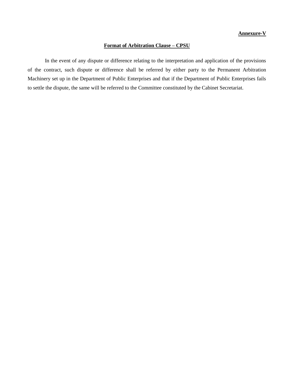#### **Annexure-V**

# **Format of Arbitration Clause – CPSU**

In the event of any dispute or difference relating to the interpretation and application of the provisions of the contract, such dispute or difference shall be referred by either party to the Permanent Arbitration Machinery set up in the Department of Public Enterprises and that if the Department of Public Enterprises fails to settle the dispute, the same will be referred to the Committee constituted by the Cabinet Secretariat.